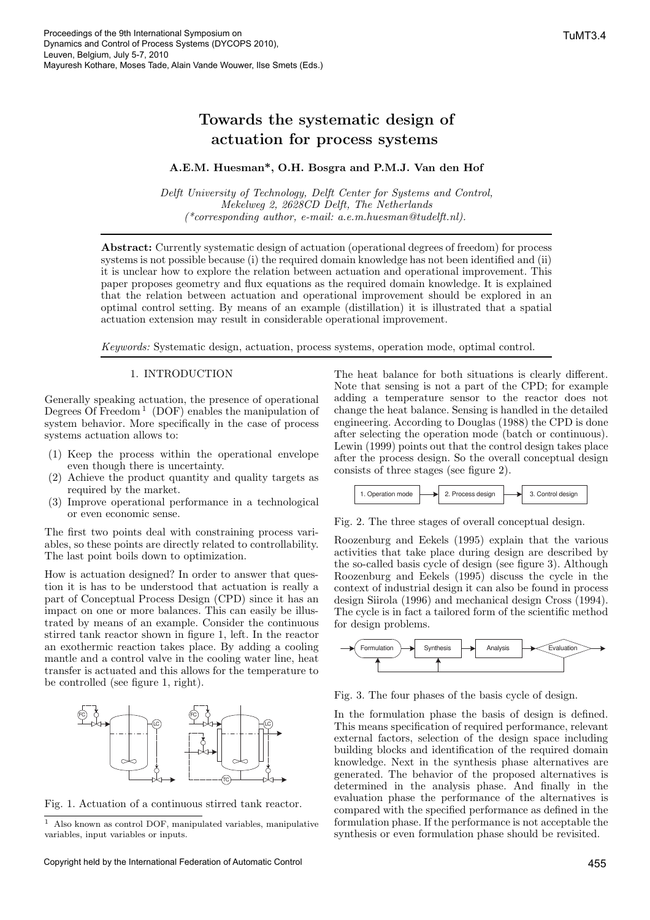# Towards the systematic design of actuation for process systems

## A.E.M. Huesman\*, O.H. Bosgra and P.M.J. Van den Hof

Delft University of Technology, Delft Center for Systems and Control, Mekelweg 2, 2628CD Delft, The Netherlands  $(*corresponding author, e-mail: a.e.m. huesman@tude[ft.nl].$ 

Abstract: Currently systematic design of actuation (operational degrees of freedom) for process systems is not possible because (i) the required domain knowledge has not been identified and (ii) it is unclear how to explore the relation between actuation and operational improvement. This paper proposes geometry and flux equations as the required domain knowledge. It is explained that the relation between actuation and operational improvement should be explored in an optimal control setting. By means of an example (distillation) it is illustrated that a spatial actuation extension may result in considerable operational improvement.

Keywords: Systematic design, actuation, process systems, operation mode, optimal control.

#### 1. INTRODUCTION

Generally speaking actuation, the presence of operational Degrees Of Freedom<sup>1</sup> (DOF) enables the manipulation of system behavior. More specifically in the case of process systems actuation allows to:

- (1) Keep the process within the operational envelope even though there is uncertainty.
- Achieve the product quantity and quality targets as required by the market.
- (3) Improve operational performance in a technological or even economic sense.

The first two points deal with constraining process variables, so these points are directly related to controllability. The last point boils down to optimization.

How is actuation designed? In order to answer that question it is has to be understood that actuation is really a part of Conceptual Process Design (CPD) since it has an impact on one or more balances. This can easily be illustrated by means of an example. Consider the continuous stirred tank reactor shown in figure 1, left. In the reactor an exothermic reaction takes place. By adding a cooling mantle and a control valve in the cooling water line, heat transfer is actuated and this allows for the temperature to be controlled (see figure 1, right).



Fig. 1. Actuation of a continuous stirred tank reactor.

 $^{\rm 1}$  Also known as control DOF, manipulated variables, manipulative variables, input variables or inputs.

Copyright held by the International Federation of Automatic Control 455

The heat balance for both situations is clearly different. Note that sensing is not a part of the CPD; for example adding a temperature sensor to the reactor does not change the heat balance. Sensing is handled in the detailed engineering. According to Douglas (1988) the CPD is done after selecting the operation mode (batch or continuous). Lewin (1999) points out that the control design takes place after the process design. So the overall conceptual design consists of three stages (see figure 2).



Fig. 2. The three stages of overall conceptual design.

Roozenburg and Eekels (1995) explain that the various activities that take place during design are described by the so-called basis cycle of design (see figure 3). Although Roozenburg and Eekels (1995) discuss the cycle in the context of industrial design it can also be found in process design Siirola (1996) and mechanical design Cross (1994). The cycle is in fact a tailored form of the scientific method for design problems.



Fig. 3. The four phases of the basis cycle of design.

In the formulation phase the basis of design is defined. This means specification of required performance, relevant external factors, selection of the design space including building blocks and identification of the required domain knowledge. Next in the synthesis phase alternatives are generated. The behavior of the proposed alternatives is determined in the analysis phase. And finally in the evaluation phase the performance of the alternatives is compared with the specified performance as defined in the formulation phase. If the performance is not acceptable the synthesis or even formulation phase should be revisited.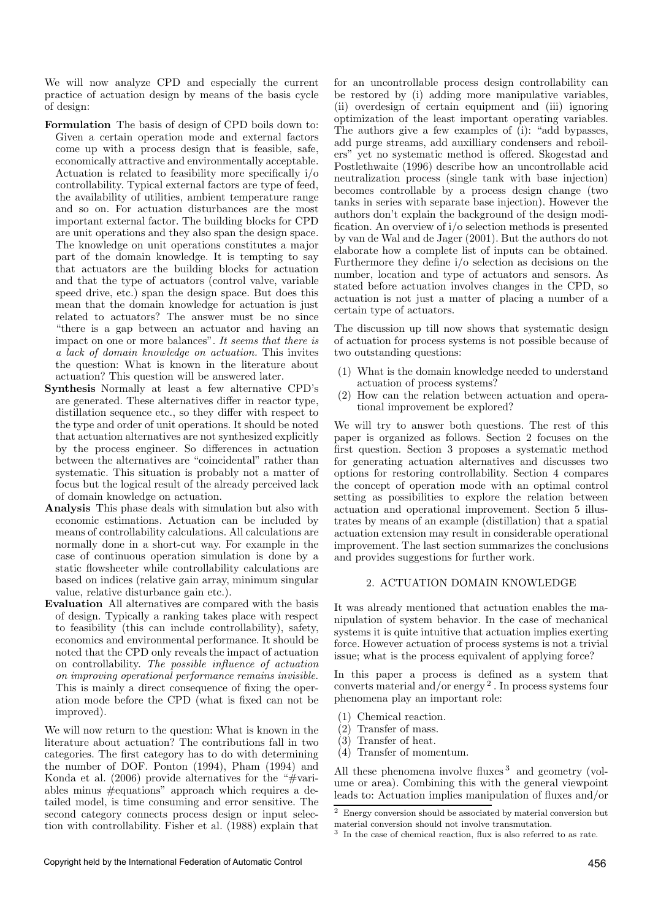We will now analyze CPD and especially the current practice of actuation design by means of the basis cycle of design:

- Formulation The basis of design of CPD boils down to: Given a certain operation mode and external factors come up with a process design that is feasible, safe, economically attractive and environmentally acceptable. Actuation is related to feasibility more specifically i/o controllability. Typical external factors are type of feed, the availability of utilities, ambient temperature range and so on. For actuation disturbances are the most important external factor. The building blocks for CPD are unit operations and they also span the design space. The knowledge on unit operations constitutes a major part of the domain knowledge. It is tempting to say that actuators are the building blocks for actuation and that the type of actuators (control valve, variable speed drive, etc.) span the design space. But does this mean that the domain knowledge for actuation is just related to actuators? The answer must be no since "there is a gap between an actuator and having an impact on one or more balances". It seems that there is a lack of domain knowledge on actuation. This invites the question: What is known in the literature about actuation? This question will be answered later.
- Synthesis Normally at least a few alternative CPD's are generated. These alternatives differ in reactor type, distillation sequence etc., so they differ with respect to the type and order of unit operations. It should be noted that actuation alternatives are not synthesized explicitly by the process engineer. So differences in actuation between the alternatives are "coincidental" rather than systematic. This situation is probably not a matter of focus but the logical result of the already perceived lack of domain knowledge on actuation.
- Analysis This phase deals with simulation but also with economic estimations. Actuation can be included by means of controllability calculations. All calculations are normally done in a short-cut way. For example in the case of continuous operation simulation is done by a static flowsheeter while controllability calculations are based on indices (relative gain array, minimum singular value, relative disturbance gain etc.).
- Evaluation All alternatives are compared with the basis of design. Typically a ranking takes place with respect to feasibility (this can include controllability), safety, economics and environmental performance. It should be noted that the CPD only reveals the impact of actuation on controllability. The possible influence of actuation on improving operational performance remains invisible. This is mainly a direct consequence of fixing the operation mode before the CPD (what is fixed can not be improved).

We will now return to the question: What is known in the literature about actuation? The contributions fall in two categories. The first category has to do with determining the number of DOF. Ponton (1994), Pham (1994) and Konda et al.  $(2006)$  provide alternatives for the "#variables minus #equations" approach which requires a detailed model, is time consuming and error sensitive. The second category connects process design or input selection with controllability. Fisher et al. (1988) explain that for an uncontrollable process design controllability can be restored by (i) adding more manipulative variables, (ii) overdesign of certain equipment and (iii) ignoring optimization of the least important operating variables. The authors give a few examples of (i): "add bypasses, add purge streams, add auxilliary condensers and reboilers" yet no systematic method is offered. Skogestad and Postlethwaite (1996) describe how an uncontrollable acid neutralization process (single tank with base injection) becomes controllable by a process design change (two tanks in series with separate base injection). However the authors don't explain the background of the design modification. An overview of i/o selection methods is presented by van de Wal and de Jager (2001). But the authors do not elaborate how a complete list of inputs can be obtained. Furthermore they define i/o selection as decisions on the number, location and type of actuators and sensors. As stated before actuation involves changes in the CPD, so actuation is not just a matter of placing a number of a certain type of actuators.

The discussion up till now shows that systematic design of actuation for process systems is not possible because of two outstanding questions:

- (1) What is the domain knowledge needed to understand actuation of process systems?
- (2) How can the relation between actuation and operational improvement be explored?

We will try to answer both questions. The rest of this paper is organized as follows. Section 2 focuses on the first question. Section 3 proposes a systematic method for generating actuation alternatives and discusses two options for restoring controllability. Section 4 compares the concept of operation mode with an optimal control setting as possibilities to explore the relation between actuation and operational improvement. Section 5 illustrates by means of an example (distillation) that a spatial actuation extension may result in considerable operational improvement. The last section summarizes the conclusions and provides suggestions for further work.

# 2. ACTUATION DOMAIN KNOWLEDGE

It was already mentioned that actuation enables the manipulation of system behavior. In the case of mechanical systems it is quite intuitive that actuation implies exerting force. However actuation of process systems is not a trivial issue; what is the process equivalent of applying force?

In this paper a process is defined as a system that converts material and/or energy 2 . In process systems four phenomena play an important role:

- (1) Chemical reaction.
- (2) Transfer of mass.
- (3) Transfer of heat.
- (4) Transfer of momentum.

All these phenomena involve fluxes <sup>3</sup> and geometry (volume or area). Combining this with the general viewpoint leads to: Actuation implies manipulation of fluxes and/or

 $2$  Energy conversion should be associated by material conversion but material conversion should not involve transmutation.

<sup>3</sup> In the case of chemical reaction, flux is also referred to as rate.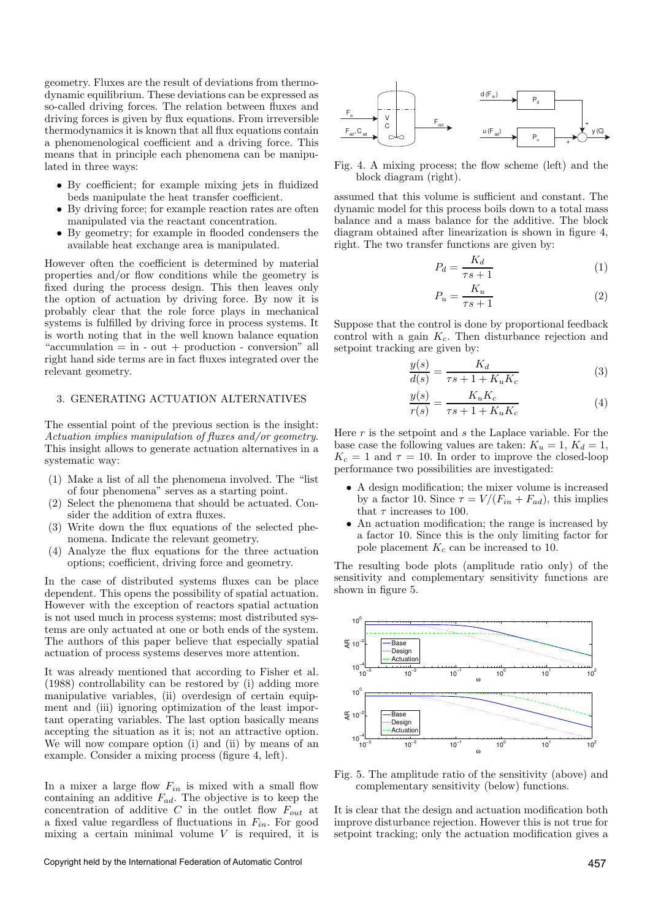geometry. Fluxes are the result of deviations from thermodynamic equilibrium. These deviations can be expressed as so-called driving forces. The relation between fluxes and driving forces is given by flux equations. From irreversible thermodynamics it is known that all flux equations contain a phenomenological coefficient and a driving force. This means that in principle each phenomena can be manipulated in three ways:

- By coefficient; for example mixing jets in fluidized beds manipulate the heat transfer coefficient.
- By driving force; for example reaction rates are often manipulated via the reactant concentration.
- By geometry; for example in flooded condensers the available heat exchange area is manipulated.

However often the coefficient is determined by material properties and/or flow conditions while the geometry is fixed during the process design. This then leaves only the option of actuation by driving force. By now it is probably clear that the role force plays in mechanical systems is fulfilled by driving force in process systems. It is worth noting that in the well known balance equation " $accumulation = in - out + production - conversion" all$ right hand side terms are in fact fluxes integrated over the relevant geometry.

# 3. GENERATING ACTUATION ALTERNATIVES

The essential point of the previous section is the insight: Actuation implies manipulation of fluxes and/or geometry. This insight allows to generate actuation alternatives in a systematic way:

- (1) Make a list of all the phenomena involved. The "list of four phenomena" serves as a starting point.
- (2) Select the phenomena that should be actuated. Consider the addition of extra fluxes.
- (3) Write down the flux equations of the selected phenomena. Indicate the relevant geometry.
- (4) Analyze the flux equations for the three actuation options; coefficient, driving force and geometry.

In the case of distributed systems fluxes can be place dependent. This opens the possibility of spatial actuation. However with the exception of reactors spatial actuation is not used much in process systems; most distributed systems are only actuated at one or both ends of the system. The authors of this paper believe that especially spatial actuation of process systems deserves more attention.

It was already mentioned that according to Fisher et al. (1988) controllability can be restored by (i) adding more manipulative variables, (ii) overdesign of certain equipment and (iii) ignoring optimization of the least important operating variables. The last option basically means accepting the situation as it is; not an attractive option. We will now compare option (i) and (ii) by means of an example. Consider a mixing process (figure 4, left).

In a mixer a large flow  $F_{in}$  is mixed with a small flow containing an additive  $F_{ad}$ . The objective is to keep the concentration of additive  $C$  in the outlet flow  $F_{out}$  at a fixed value regardless of fluctuations in  $F_{in}$ . For good mixing a certain minimal volume  $V$  is required, it is



Fig. 4. A mixing process; the flow scheme (left) and the block diagram (right).

assumed that this volume is sufficient and constant. The dynamic model for this process boils down to a total mass balance and a mass balance for the additive. The block diagram obtained after linearization is shown in figure 4, right. The two transfer functions are given by:

$$
P_d = \frac{K_d}{\tau s + 1} \tag{1}
$$

$$
P_u = \frac{K_u}{\tau s + 1} \tag{2}
$$

Suppose that the control is done by proportional feedback control with a gain  $K_c$ . Then disturbance rejection and setpoint tracking are given by:

$$
\frac{y(s)}{d(s)} = \frac{K_d}{\tau s + 1 + K_u K_c} \tag{3}
$$

$$
\frac{y(s)}{r(s)} = \frac{K_u K_c}{\tau s + 1 + K_u K_c} \tag{4}
$$

Here  $r$  is the setpoint and  $s$  the Laplace variable. For the base case the following values are taken:  $K_u = 1, K_d = 1$ ,  $K_c = 1$  and  $\tau = 10$ . In order to improve the closed-loop performance two possibilities are investigated:

- A design modification; the mixer volume is increased by a factor 10. Since  $\tau = V/(F_{in} + F_{ad})$ , this implies that  $\tau$  increases to 100.
- An actuation modification; the range is increased by a factor 10. Since this is the only limiting factor for pole placement  $K_c$  can be increased to 10.

The resulting bode plots (amplitude ratio only) of the sensitivity and complementary sensitivity functions are shown in figure 5.



Fig. 5. The amplitude ratio of the sensitivity (above) and complementary sensitivity (below) functions.

It is clear that the design and actuation modification both improve disturbance rejection. However this is not true for setpoint tracking; only the actuation modification gives a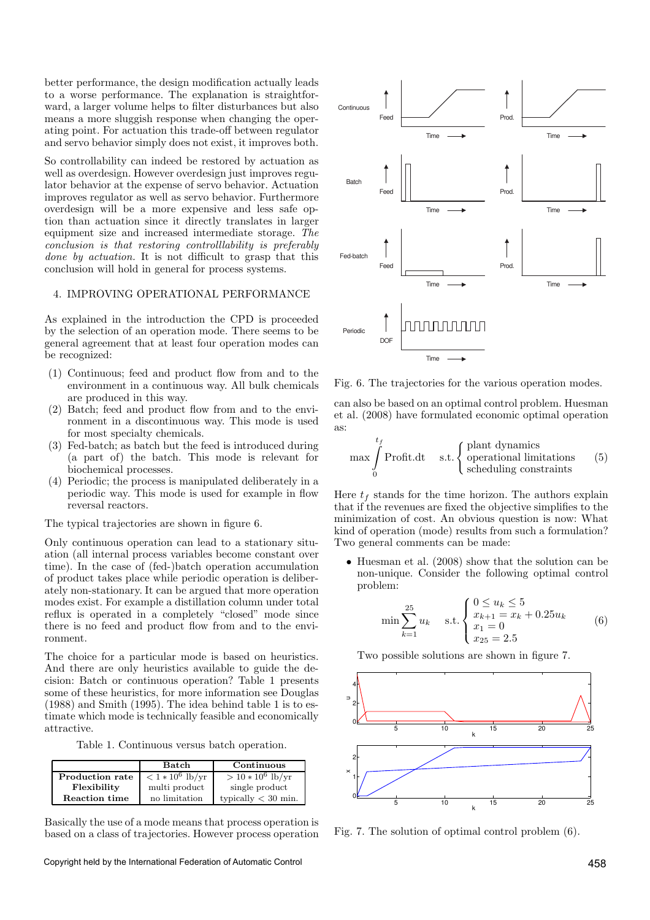better performance, the design modification actually leads to a worse performance. The explanation is straightforward, a larger volume helps to filter disturbances but also means a more sluggish response when changing the operating point. For actuation this trade-off between regulator and servo behavior simply does not exist, it improves both.

So controllability can indeed be restored by actuation as well as overdesign. However overdesign just improves regulator behavior at the expense of servo behavior. Actuation improves regulator as well as servo behavior. Furthermore overdesign will be a more expensive and less safe option than actuation since it directly translates in larger equipment size and increased intermediate storage. The conclusion is that restoring controlllability is preferably done by actuation. It is not difficult to grasp that this conclusion will hold in general for process systems.

#### 4. IMPROVING OPERATIONAL PERFORMANCE

As explained in the introduction the CPD is proceeded by the selection of an operation mode. There seems to be general agreement that at least four operation modes can be recognized:

- (1) Continuous; feed and product flow from and to the environment in a continuous way. All bulk chemicals are produced in this way.
- (2) Batch; feed and product flow from and to the environment in a discontinuous way. This mode is used for most specialty chemicals.
- (3) Fed-batch; as batch but the feed is introduced during (a part of) the batch. This mode is relevant for biochemical processes.
- (4) Periodic; the process is manipulated deliberately in a periodic way. This mode is used for example in flow reversal reactors.

The typical trajectories are shown in figure 6.

Only continuous operation can lead to a stationary situation (all internal process variables become constant over time). In the case of (fed-)batch operation accumulation of product takes place while periodic operation is deliberately non-stationary. It can be argued that more operation modes exist. For example a distillation column under total reflux is operated in a completely "closed" mode since there is no feed and product flow from and to the environment.

The choice for a particular mode is based on heuristics. And there are only heuristics available to guide the decision: Batch or continuous operation? Table 1 presents some of these heuristics, for more information see Douglas (1988) and Smith (1995). The idea behind table 1 is to estimate which mode is technically feasible and economically attractive.

Table 1. Continuous versus batch operation.

|                        | Batch              | Continuous            |
|------------------------|--------------------|-----------------------|
| <b>Production rate</b> | $< 1 * 10^6$ lb/yr | $> 10 * 10^6$ lb/yr   |
| Flexibility            | multi product      | single product        |
| <b>Reaction time</b>   | no limitation      | typically $<$ 30 min. |

Basically the use of a mode means that process operation is based on a class of trajectories. However process operation



Fig. 6. The trajectories for the various operation modes.

can also be based on an optimal control problem. Huesman et al. (2008) have formulated economic optimal operation as:

$$
\max \int_{0}^{t_f} \text{Profit.dat} \quad \text{s.t.} \begin{cases} \text{plant dynamics} \\ \text{operational limitations} \\ \text{ scheduling constraints} \end{cases} \tag{5}
$$

Here  $t_f$  stands for the time horizon. The authors explain that if the revenues are fixed the objective simplifies to the minimization of cost. An obvious question is now: What kind of operation (mode) results from such a formulation? Two general comments can be made:

• Huesman et al. (2008) show that the solution can be non-unique. Consider the following optimal control problem:

$$
\min \sum_{k=1}^{25} u_k \quad \text{s.t.} \begin{cases} 0 \le u_k \le 5\\ x_{k+1} = x_k + 0.25u_k\\ x_1 = 0\\ x_{25} = 2.5 \end{cases} \tag{6}
$$

Two possible solutions are shown in figure 7.



Fig. 7. The solution of optimal control problem (6).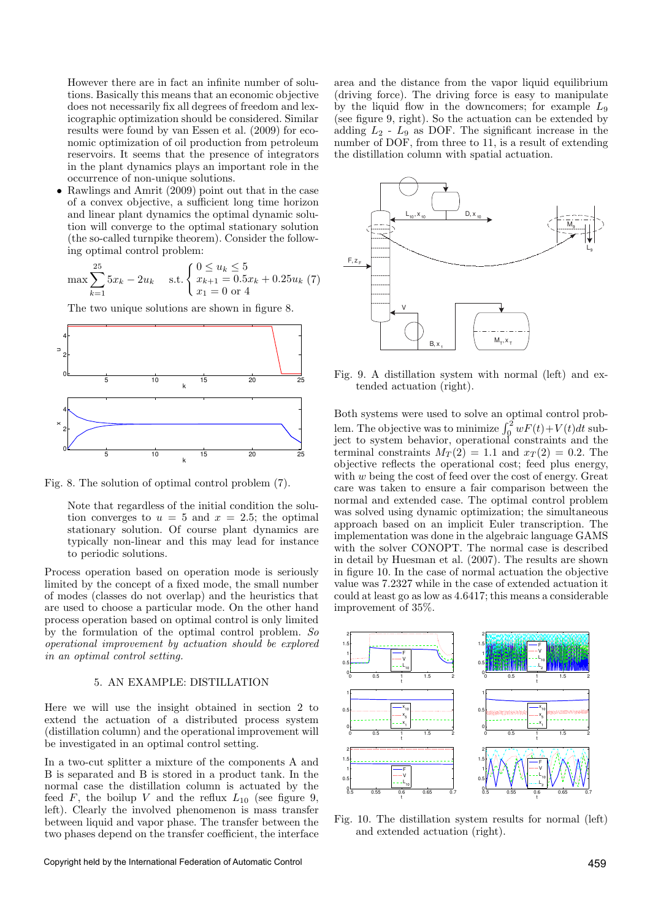However there are in fact an infinite number of solutions. Basically this means that an economic objective does not necessarily fix all degrees of freedom and lexicographic optimization should be considered. Similar results were found by van Essen et al. (2009) for economic optimization of oil production from petroleum reservoirs. It seems that the presence of integrators in the plant dynamics plays an important role in the occurrence of non-unique solutions.

• Rawlings and Amrit (2009) point out that in the case of a convex objective, a sufficient long time horizon and linear plant dynamics the optimal dynamic solution will converge to the optimal stationary solution (the so-called turnpike theorem). Consider the following optimal control problem:

$$
\max \sum_{k=1}^{25} 5x_k - 2u_k \quad \text{s.t.} \begin{cases} 0 \le u_k \le 5\\ x_{k+1} = 0.5x_k + 0.25u_k \ (7) \\ x_1 = 0 \text{ or } 4 \end{cases}
$$

The two unique solutions are shown in figure 8.



Fig. 8. The solution of optimal control problem (7).

Note that regardless of the initial condition the solution converges to  $u = 5$  and  $x = 2.5$ ; the optimal stationary solution. Of course plant dynamics are typically non-linear and this may lead for instance to periodic solutions.

Process operation based on operation mode is seriously limited by the concept of a fixed mode, the small number of modes (classes do not overlap) and the heuristics that are used to choose a particular mode. On the other hand process operation based on optimal control is only limited by the formulation of the optimal control problem. So operational improvement by actuation should be explored in an optimal control setting.

## 5. AN EXAMPLE: DISTILLATION

Here we will use the insight obtained in section 2 to extend the actuation of a distributed process system (distillation column) and the operational improvement will be investigated in an optimal control setting.

In a two-cut splitter a mixture of the components A and B is separated and B is stored in a product tank. In the normal case the distillation column is actuated by the feed F, the boilup V and the reflux  $L_{10}$  (see figure 9, left). Clearly the involved phenomenon is mass transfer between liquid and vapor phase. The transfer between the two phases depend on the transfer coefficient, the interface

Copyright held by the International Federation of Automatic Control 459

area and the distance from the vapor liquid equilibrium (driving force). The driving force is easy to manipulate by the liquid flow in the downcomers; for example  $L_9$ (see figure 9, right). So the actuation can be extended by adding  $L_2$  -  $L_9$  as DOF. The significant increase in the number of DOF, from three to 11, is a result of extending the distillation column with spatial actuation.



Fig. 9. A distillation system with normal (left) and extended actuation (right).

Both systems were used to solve an optimal control problem. The objective was to minimize  $\int_0^2 wF(t) + V(t)dt$  subject to system behavior, operational constraints and the terminal constraints  $M_T(2) = 1.1$  and  $x_T(2) = 0.2$ . The objective reflects the operational cost; feed plus energy, with w being the cost of feed over the cost of energy. Great care was taken to ensure a fair comparison between the normal and extended case. The optimal control problem was solved using dynamic optimization; the simultaneous approach based on an implicit Euler transcription. The implementation was done in the algebraic language GAMS with the solver CONOPT. The normal case is described in detail by Huesman et al. (2007). The results are shown in figure 10. In the case of normal actuation the objective value was 7.2327 while in the case of extended actuation it could at least go as low as  $4.6417$ ; this means a considerable improvement of 35%.



Fig. 10. The distillation system results for normal (left) and extended actuation (right).